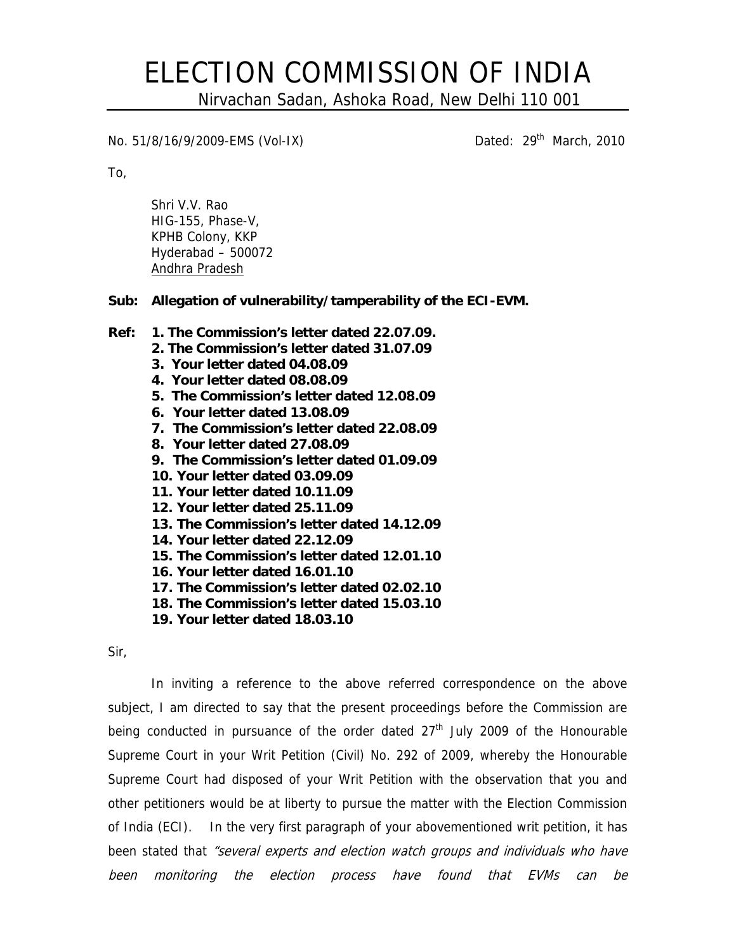## ELECTION COMMISSION OF INDIA

Nirvachan Sadan, Ashoka Road, New Delhi 110 001

No. 51/8/16/9/2009-EMS (Vol-IX) Channel Dated: 29<sup>th</sup> March, 2010

To,

Shri V.V. Rao HIG-155, Phase-V, KPHB Colony, KKP Hyderabad – 500072 Andhra Pradesh

**Sub: Allegation of vulnerability/tamperability of the ECI-EVM.** 

- **Ref: 1. The Commission's letter dated 22.07.09.** 
	- **2. The Commission's letter dated 31.07.09**
	- **3. Your letter dated 04.08.09**
	- **4. Your letter dated 08.08.09**
	- **5. The Commission's letter dated 12.08.09**
	- **6. Your letter dated 13.08.09**
	- **7. The Commission's letter dated 22.08.09**
	- **8. Your letter dated 27.08.09**
	- **9. The Commission's letter dated 01.09.09**
	- **10. Your letter dated 03.09.09**
	- **11. Your letter dated 10.11.09**
	- **12. Your letter dated 25.11.09**
	- **13. The Commission's letter dated 14.12.09**
	- **14. Your letter dated 22.12.09**
	- **15. The Commission's letter dated 12.01.10**
	- **16. Your letter dated 16.01.10**
	- **17. The Commission's letter dated 02.02.10**
	- **18. The Commission's letter dated 15.03.10**
	- **19. Your letter dated 18.03.10**

Sir,

In inviting a reference to the above referred correspondence on the above subject, I am directed to say that the present proceedings before the Commission are being conducted in pursuance of the order dated  $27<sup>th</sup>$  July 2009 of the Honourable Supreme Court in your Writ Petition (Civil) No. 292 of 2009, whereby the Honourable Supreme Court had disposed of your Writ Petition with the observation that you and other petitioners would be at liberty to pursue the matter with the Election Commission of India (ECI). In the very first paragraph of your abovementioned writ petition, it has been stated that "several experts and election watch groups and individuals who have been monitoring the election process have found that EVMs can be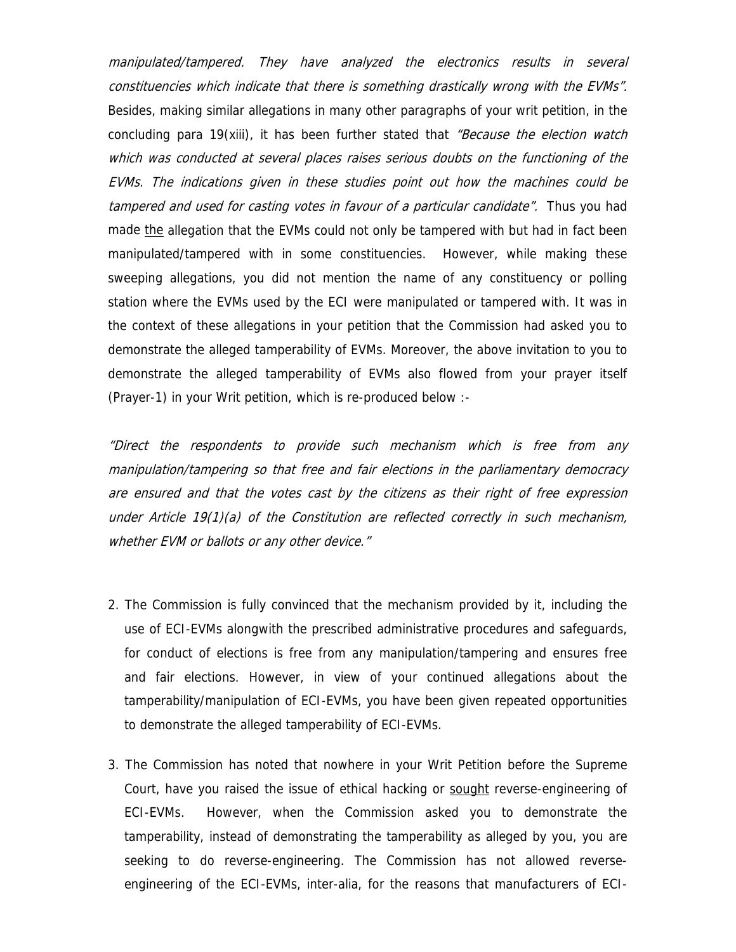manipulated/tampered. They have analyzed the electronics results in several constituencies which indicate that there is something drastically wrong with the EVMs". Besides, making similar allegations in many other paragraphs of your writ petition, in the concluding para 19(xiii), it has been further stated that "Because the election watch which was conducted at several places raises serious doubts on the functioning of the EVMs. The indications given in these studies point out how the machines could be tampered and used for casting votes in favour of a particular candidate". Thus you had made the allegation that the EVMs could not only be tampered with but had in fact been manipulated/tampered with in some constituencies. However, while making these sweeping allegations, you did not mention the name of any constituency or polling station where the EVMs used by the ECI were manipulated or tampered with. It was in the context of these allegations in your petition that the Commission had asked you to demonstrate the alleged tamperability of EVMs. Moreover, the above invitation to you to demonstrate the alleged tamperability of EVMs also flowed from your prayer itself (Prayer-1) in your Writ petition, which is re-produced below :-

"Direct the respondents to provide such mechanism which is free from any manipulation/tampering so that free and fair elections in the parliamentary democracy are ensured and that the votes cast by the citizens as their right of free expression under Article 19(1)(a) of the Constitution are reflected correctly in such mechanism, whether EVM or ballots or any other device."

- 2. The Commission is fully convinced that the mechanism provided by it, including the use of ECI-EVMs alongwith the prescribed administrative procedures and safeguards, for conduct of elections is free from any manipulation/tampering and ensures free and fair elections. However, in view of your continued allegations about the tamperability/manipulation of ECI-EVMs, you have been given repeated opportunities to demonstrate the alleged tamperability of ECI-EVMs.
- 3. The Commission has noted that nowhere in your Writ Petition before the Supreme Court, have you raised the issue of ethical hacking or sought reverse-engineering of ECI-EVMs. However, when the Commission asked you to demonstrate the tamperability, instead of demonstrating the tamperability as alleged by you, you are seeking to do reverse-engineering. The Commission has not allowed reverseengineering of the ECI-EVMs, inter-alia, for the reasons that manufacturers of ECI-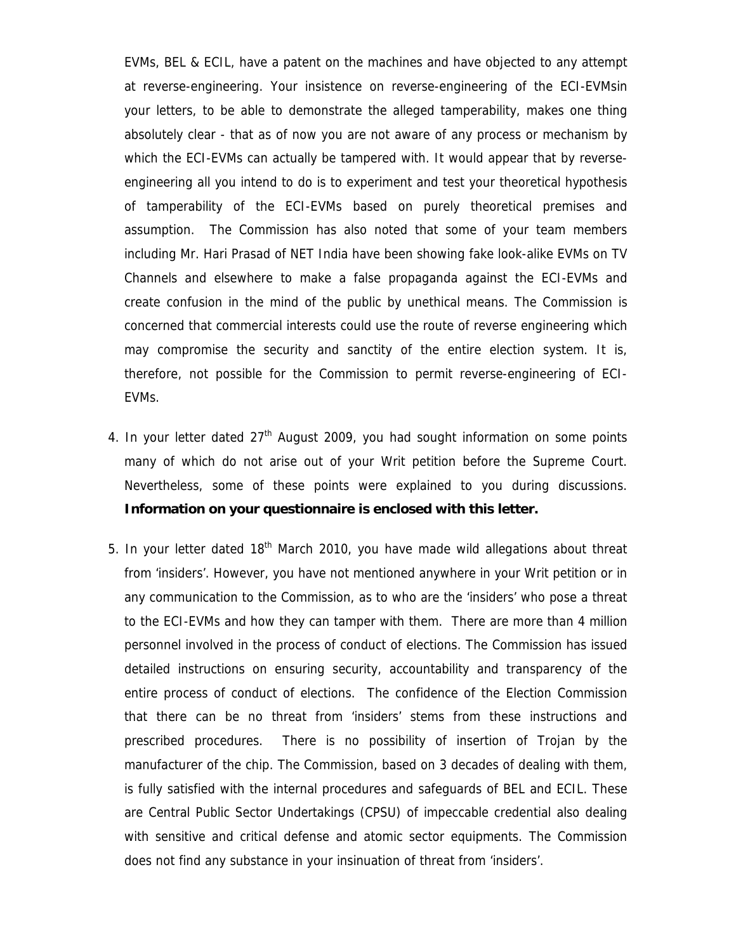EVMs, BEL & ECIL, have a patent on the machines and have objected to any attempt at reverse-engineering. Your insistence on reverse-engineering of the ECI-EVMsin your letters, to be able to demonstrate the alleged tamperability, makes one thing absolutely clear - that as of now you are not aware of any process or mechanism by which the ECI-EVMs can actually be tampered with. It would appear that by reverseengineering all you intend to do is to experiment and test your theoretical hypothesis of tamperability of the ECI-EVMs based on purely theoretical premises and assumption. The Commission has also noted that some of your team members including Mr. Hari Prasad of NET India have been showing fake look-alike EVMs on TV Channels and elsewhere to make a false propaganda against the ECI-EVMs and create confusion in the mind of the public by unethical means. The Commission is concerned that commercial interests could use the route of reverse engineering which may compromise the security and sanctity of the entire election system. It is, therefore, not possible for the Commission to permit reverse-engineering of ECI-EVMs.

- 4. In your letter dated  $27<sup>th</sup>$  August 2009, you had sought information on some points many of which do not arise out of your Writ petition before the Supreme Court. Nevertheless, some of these points were explained to you during discussions. **Information on your questionnaire is enclosed with this letter.**
- 5. In your letter dated  $18<sup>th</sup>$  March 2010, you have made wild allegations about threat from 'insiders'. However, you have not mentioned anywhere in your Writ petition or in any communication to the Commission, as to who are the 'insiders' who pose a threat to the ECI-EVMs and how they can tamper with them. There are more than 4 million personnel involved in the process of conduct of elections. The Commission has issued detailed instructions on ensuring security, accountability and transparency of the entire process of conduct of elections. The confidence of the Election Commission that there can be no threat from 'insiders' stems from these instructions and prescribed procedures. There is no possibility of insertion of Trojan by the manufacturer of the chip. The Commission, based on 3 decades of dealing with them, is fully satisfied with the internal procedures and safeguards of BEL and ECIL. These are Central Public Sector Undertakings (CPSU) of impeccable credential also dealing with sensitive and critical defense and atomic sector equipments. The Commission does not find any substance in your insinuation of threat from 'insiders'.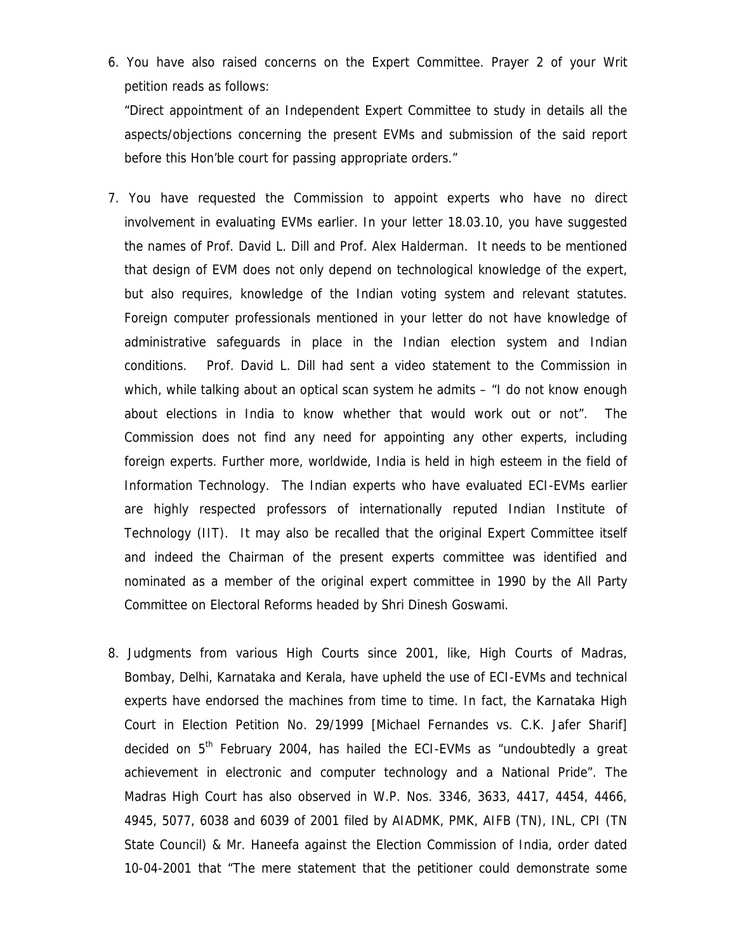6. You have also raised concerns on the Expert Committee. Prayer 2 of your Writ petition reads as follows:

"Direct appointment of an Independent Expert Committee to study in details all the aspects/objections concerning the present EVMs and submission of the said report before this Hon'ble court for passing appropriate orders."

- 7. You have requested the Commission to appoint experts who have no direct involvement in evaluating EVMs earlier. In your letter 18.03.10, you have suggested the names of Prof. David L. Dill and Prof. Alex Halderman. It needs to be mentioned that design of EVM does not only depend on technological knowledge of the expert, but also requires, knowledge of the Indian voting system and relevant statutes. Foreign computer professionals mentioned in your letter do not have knowledge of administrative safeguards in place in the Indian election system and Indian conditions. Prof. David L. Dill had sent a video statement to the Commission in which, while talking about an optical scan system he admits – "I do not know enough about elections in India to know whether that would work out or not". The Commission does not find any need for appointing any other experts, including foreign experts. Further more, worldwide, India is held in high esteem in the field of Information Technology. The Indian experts who have evaluated ECI-EVMs earlier are highly respected professors of internationally reputed Indian Institute of Technology (IIT). It may also be recalled that the original Expert Committee itself and indeed the Chairman of the present experts committee was identified and nominated as a member of the original expert committee in 1990 by the All Party Committee on Electoral Reforms headed by Shri Dinesh Goswami.
- 8. Judgments from various High Courts since 2001, like, High Courts of Madras, Bombay, Delhi, Karnataka and Kerala, have upheld the use of ECI-EVMs and technical experts have endorsed the machines from time to time. In fact, the Karnataka High Court in Election Petition No. 29/1999 [Michael Fernandes vs. C.K. Jafer Sharif] decided on  $5<sup>th</sup>$  February 2004, has hailed the ECI-EVMs as "undoubtedly a great achievement in electronic and computer technology and a National Pride". The Madras High Court has also observed in W.P. Nos. 3346, 3633, 4417, 4454, 4466, 4945, 5077, 6038 and 6039 of 2001 filed by AIADMK, PMK, AIFB (TN), INL, CPI (TN State Council) & Mr. Haneefa against the Election Commission of India, order dated 10-04-2001 that "The mere statement that the petitioner could demonstrate some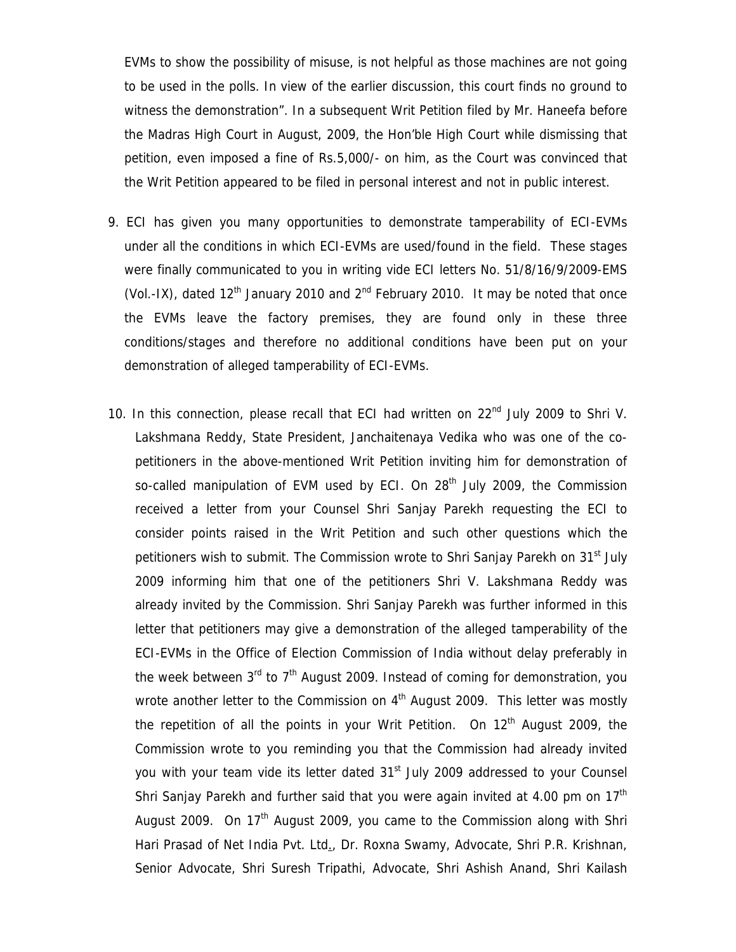EVMs to show the possibility of misuse, is not helpful as those machines are not going to be used in the polls. In view of the earlier discussion, this court finds no ground to witness the demonstration". In a subsequent Writ Petition filed by Mr. Haneefa before the Madras High Court in August, 2009, the Hon'ble High Court while dismissing that petition, even imposed a fine of Rs.5,000/- on him, as the Court was convinced that the Writ Petition appeared to be filed in personal interest and not in public interest.

- 9. ECI has given you many opportunities to demonstrate tamperability of ECI-EVMs under all the conditions in which ECI-EVMs are used/found in the field. These stages were finally communicated to you in writing vide ECI letters No. 51/8/16/9/2009-EMS (Vol.-IX), dated  $12<sup>th</sup>$  January 2010 and  $2<sup>nd</sup>$  February 2010. It may be noted that once the EVMs leave the factory premises, they are found only in these three conditions/stages and therefore no additional conditions have been put on your demonstration of alleged tamperability of ECI-EVMs.
- 10. In this connection, please recall that ECI had written on 22<sup>nd</sup> July 2009 to Shri V. Lakshmana Reddy, State President, Janchaitenaya Vedika who was one of the copetitioners in the above-mentioned Writ Petition inviting him for demonstration of so-called manipulation of EVM used by ECI. On  $28<sup>th</sup>$  July 2009, the Commission received a letter from your Counsel Shri Sanjay Parekh requesting the ECI to consider points raised in the Writ Petition and such other questions which the petitioners wish to submit. The Commission wrote to Shri Sanjay Parekh on  $31<sup>st</sup>$  July 2009 informing him that one of the petitioners Shri V. Lakshmana Reddy was already invited by the Commission. Shri Sanjay Parekh was further informed in this letter that petitioners may give a demonstration of the alleged tamperability of the ECI-EVMs in the Office of Election Commission of India without delay preferably in the week between  $3<sup>rd</sup>$  to  $7<sup>th</sup>$  August 2009. Instead of coming for demonstration, you wrote another letter to the Commission on  $4<sup>th</sup>$  August 2009. This letter was mostly the repetition of all the points in your Writ Petition. On 12<sup>th</sup> August 2009, the Commission wrote to you reminding you that the Commission had already invited you with your team vide its letter dated 31<sup>st</sup> July 2009 addressed to your Counsel Shri Sanjay Parekh and further said that you were again invited at 4.00 pm on  $17<sup>th</sup>$ August 2009. On 17<sup>th</sup> August 2009, you came to the Commission along with Shri Hari Prasad of Net India Pvt. Ltd., Dr. Roxna Swamy, Advocate, Shri P.R. Krishnan, Senior Advocate, Shri Suresh Tripathi, Advocate, Shri Ashish Anand, Shri Kailash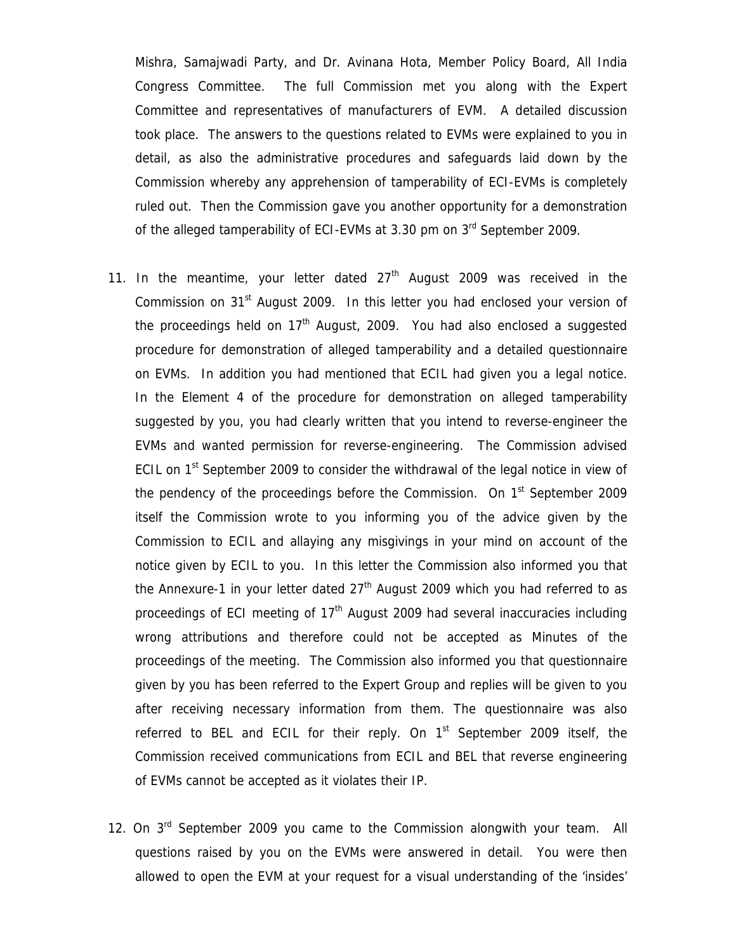Mishra, Samajwadi Party, and Dr. Avinana Hota, Member Policy Board, All India Congress Committee. The full Commission met you along with the Expert Committee and representatives of manufacturers of EVM. A detailed discussion took place. The answers to the questions related to EVMs were explained to you in detail, as also the administrative procedures and safeguards laid down by the Commission whereby any apprehension of tamperability of ECI-EVMs is completely ruled out. Then the Commission gave you another opportunity for a demonstration of the alleged tamperability of ECI-EVMs at 3.30 pm on  $3<sup>rd</sup>$  September 2009.

- 11. In the meantime, your letter dated  $27<sup>th</sup>$  August 2009 was received in the Commission on  $31<sup>st</sup>$  August 2009. In this letter you had enclosed your version of the proceedings held on  $17<sup>th</sup>$  August, 2009. You had also enclosed a suggested procedure for demonstration of alleged tamperability and a detailed questionnaire on EVMs. In addition you had mentioned that ECIL had given you a legal notice. In the Element 4 of the procedure for demonstration on alleged tamperability suggested by you, you had clearly written that you intend to reverse-engineer the EVMs and wanted permission for reverse-engineering. The Commission advised ECIL on  $1<sup>st</sup>$  September 2009 to consider the withdrawal of the legal notice in view of the pendency of the proceedings before the Commission. On  $1<sup>st</sup>$  September 2009 itself the Commission wrote to you informing you of the advice given by the Commission to ECIL and allaying any misgivings in your mind on account of the notice given by ECIL to you. In this letter the Commission also informed you that the Annexure-1 in your letter dated  $27<sup>th</sup>$  August 2009 which you had referred to as proceedings of ECI meeting of  $17<sup>th</sup>$  August 2009 had several inaccuracies including wrong attributions and therefore could not be accepted as Minutes of the proceedings of the meeting. The Commission also informed you that questionnaire given by you has been referred to the Expert Group and replies will be given to you after receiving necessary information from them. The questionnaire was also referred to BEL and ECIL for their reply. On  $1<sup>st</sup>$  September 2009 itself, the Commission received communications from ECIL and BEL that reverse engineering of EVMs cannot be accepted as it violates their IP.
- 12. On  $3^{rd}$  September 2009 you came to the Commission alongwith your team. All questions raised by you on the EVMs were answered in detail. You were then allowed to open the EVM at your request for a visual understanding of the 'insides'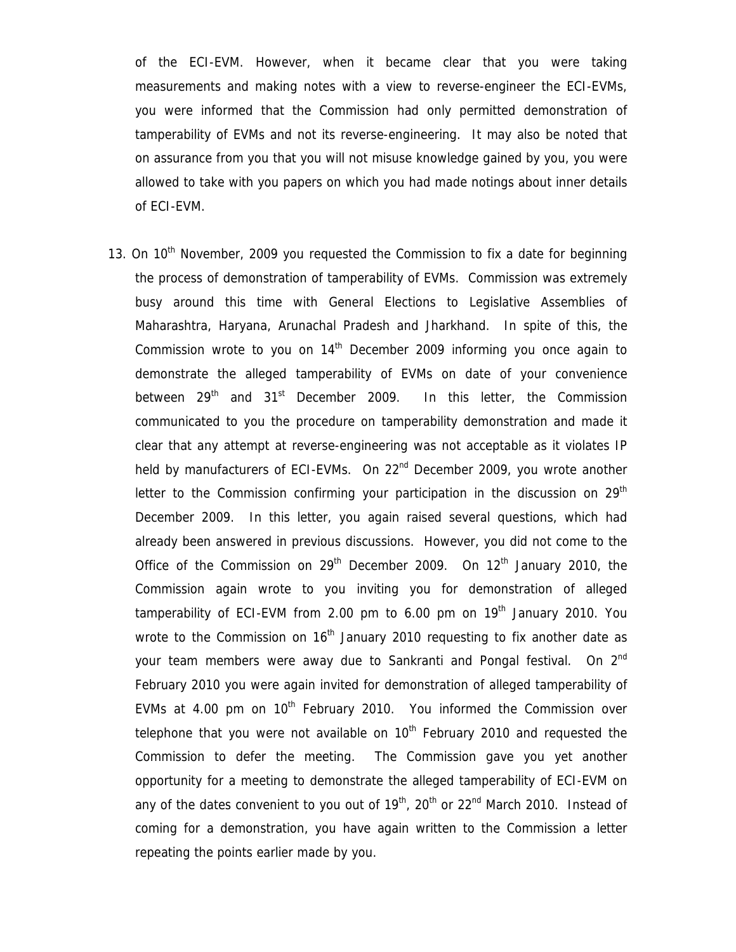of the ECI-EVM. However, when it became clear that you were taking measurements and making notes with a view to reverse-engineer the ECI-EVMs, you were informed that the Commission had only permitted demonstration of tamperability of EVMs and not its reverse-engineering. It may also be noted that on assurance from you that you will not misuse knowledge gained by you, you were allowed to take with you papers on which you had made notings about inner details of ECI-EVM.

13. On  $10<sup>th</sup>$  November, 2009 you requested the Commission to fix a date for beginning the process of demonstration of tamperability of EVMs. Commission was extremely busy around this time with General Elections to Legislative Assemblies of Maharashtra, Haryana, Arunachal Pradesh and Jharkhand. In spite of this, the Commission wrote to you on  $14<sup>th</sup>$  December 2009 informing you once again to demonstrate the alleged tamperability of EVMs on date of your convenience between  $29<sup>th</sup>$  and  $31<sup>st</sup>$  December 2009. In this letter, the Commission communicated to you the procedure on tamperability demonstration and made it clear that any attempt at reverse-engineering was not acceptable as it violates IP held by manufacturers of ECI-EVMs. On 22<sup>nd</sup> December 2009, you wrote another letter to the Commission confirming your participation in the discussion on  $29<sup>tn</sup>$ December 2009. In this letter, you again raised several questions, which had already been answered in previous discussions. However, you did not come to the Office of the Commission on  $29^{th}$  December 2009. On  $12^{th}$  January 2010, the Commission again wrote to you inviting you for demonstration of alleged tamperability of ECI-EVM from 2.00 pm to 6.00 pm on  $19<sup>th</sup>$  January 2010. You wrote to the Commission on  $16<sup>th</sup>$  January 2010 requesting to fix another date as your team members were away due to Sankranti and Pongal festival. On 2<sup>nd</sup> February 2010 you were again invited for demonstration of alleged tamperability of EVMs at 4.00 pm on  $10^{th}$  February 2010. You informed the Commission over telephone that you were not available on  $10<sup>th</sup>$  February 2010 and requested the Commission to defer the meeting. The Commission gave you yet another opportunity for a meeting to demonstrate the alleged tamperability of ECI-EVM on any of the dates convenient to you out of  $19^{th}$ ,  $20^{th}$  or  $22^{nd}$  March 2010. Instead of coming for a demonstration, you have again written to the Commission a letter repeating the points earlier made by you.